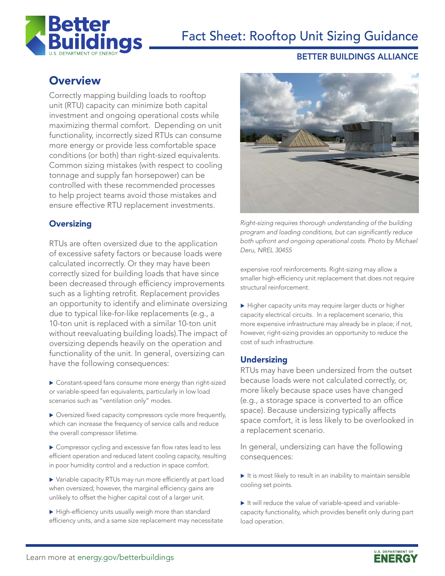

# Fact Sheet: Rooftop Unit Sizing Guidance

#### BETTER BUILDINGS ALLIANCE

# **Overview**

Correctly mapping building loads to rooftop unit (RTU) capacity can minimize both capital investment and ongoing operational costs while maximizing thermal comfort. Depending on unit functionality, incorrectly sized RTUs can consume more energy or provide less comfortable space conditions (or both) than right-sized equivalents. Common sizing mistakes (with respect to cooling tonnage and supply fan horsepower) can be controlled with these recommended processes to help project teams avoid those mistakes and ensure effective RTU replacement investments.

# **Oversizing**

RTUs are often oversized due to the application of excessive safety factors or because loads were calculated incorrectly. Or they may have been correctly sized for building loads that have since been decreased through efficiency improvements such as a lighting retrofit. Replacement provides an opportunity to identify and eliminate oversizing due to typical like-for-like replacements (e.g., a 10-ton unit is replaced with a similar 10-ton unit without reevaluating building loads).The impact of oversizing depends heavily on the operation and functionality of the unit. In general, oversizing can have the following consequences:

- $\blacktriangleright$  Constant-speed fans consume more energy than right-sized or variable-speed fan equivalents, particularly in low load scenarios such as "ventilation only" modes.
- $\triangleright$  Oversized fixed capacity compressors cycle more frequently, which can increase the frequency of service calls and reduce the overall compressor lifetime.
- ▶ Compressor cycling and excessive fan flow rates lead to less efficient operation and reduced latent cooling capacity, resulting in poor humidity control and a reduction in space comfort.
- ▶ Variable capacity RTUs may run more efficiently at part load when oversized; however, the marginal efficiency gains are unlikely to offset the higher capital cost of a larger unit.
- $\blacktriangleright$  High-efficiency units usually weigh more than standard efficiency units, and a same size replacement may necessitate



*Right-sizing requires thorough understanding of the building*  program and loading conditions, but can significantly reduce both upfront and ongoing operational costs. Photo by Michael *Deru, NREL 30455*

expensive roof reinforcements. Right-sizing may allow a smaller high-efficiency unit replacement that does not require structural reinforcement.

 $\blacktriangleright$  Higher capacity units may require larger ducts or higher capacity electrical circuits. In a replacement scenario, this more expensive infrastructure may already be in place; if not, however, right-sizing provides an opportunity to reduce the cost of such infrastructure.

## **Undersizing**

RTUs may have been undersized from the outset because loads were not calculated correctly, or, more likely because space uses have changed (e.g., a storage space is converted to an office space). Because undersizing typically affects space comfort, it is less likely to be overlooked in a replacement scenario.

In general, undersizing can have the following consequences:

- $\blacktriangleright$  It is most likely to result in an inability to maintain sensible cooling set points.
- $\blacktriangleright$  It will reduce the value of variable-speed and variablecapacity functionality, which provides benefit only during part load operation.